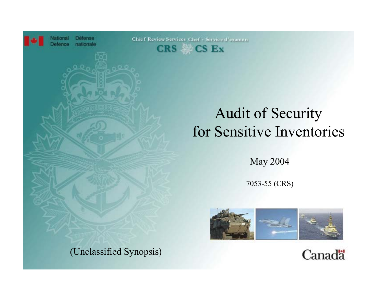

**Security for Sensitive Inventories** Defence nationale



## Audit of Security for Sensitive Inventories

May 2004

7053-55 (CRS)





(Unclassified Synopsis)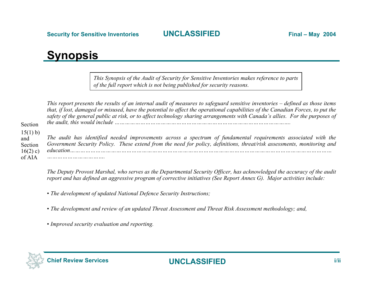## **Synopsis**

*This Synopsis of the Audit of Security for Sensitive Inventories makes reference to parts of the full report which is not being published for security reasons.*

|                                        | This report presents the results of an internal audit of measures to safeguard sensitive inventories – defined as those items<br>that, if lost, damaged or misused, have the potential to affect the operational capabilities of the Canadian Forces, to put the<br>safety of the general public at risk, or to affect technology sharing arrangements with Canada's allies. For the purposes of |
|----------------------------------------|--------------------------------------------------------------------------------------------------------------------------------------------------------------------------------------------------------------------------------------------------------------------------------------------------------------------------------------------------------------------------------------------------|
| Section                                |                                                                                                                                                                                                                                                                                                                                                                                                  |
| 15(1) b)<br>and<br>Section<br>16(2) c) | The audit has identified needed improvements across a spectrum of fundamental requirements associated with the<br>Government Security Policy. These extend from the need for policy, definitions, threat/risk assessments, monitoring and<br>.                                                                                                                                                   |
| of AIA                                 |                                                                                                                                                                                                                                                                                                                                                                                                  |

*The Deputy Provost Marshal, who serves as the Departmental Security Officer, has acknowledged the accuracy of the audit report and has defined an aggressive program of corrective initiatives (See Report Annex G). Major activities include:* 

- *The development of updated National Defence Security Instructions;*
- *The development and review of an updated Threat Assessment and Threat Risk Assessment methodology; and,*
- *Improved security evaluation and reporting.*